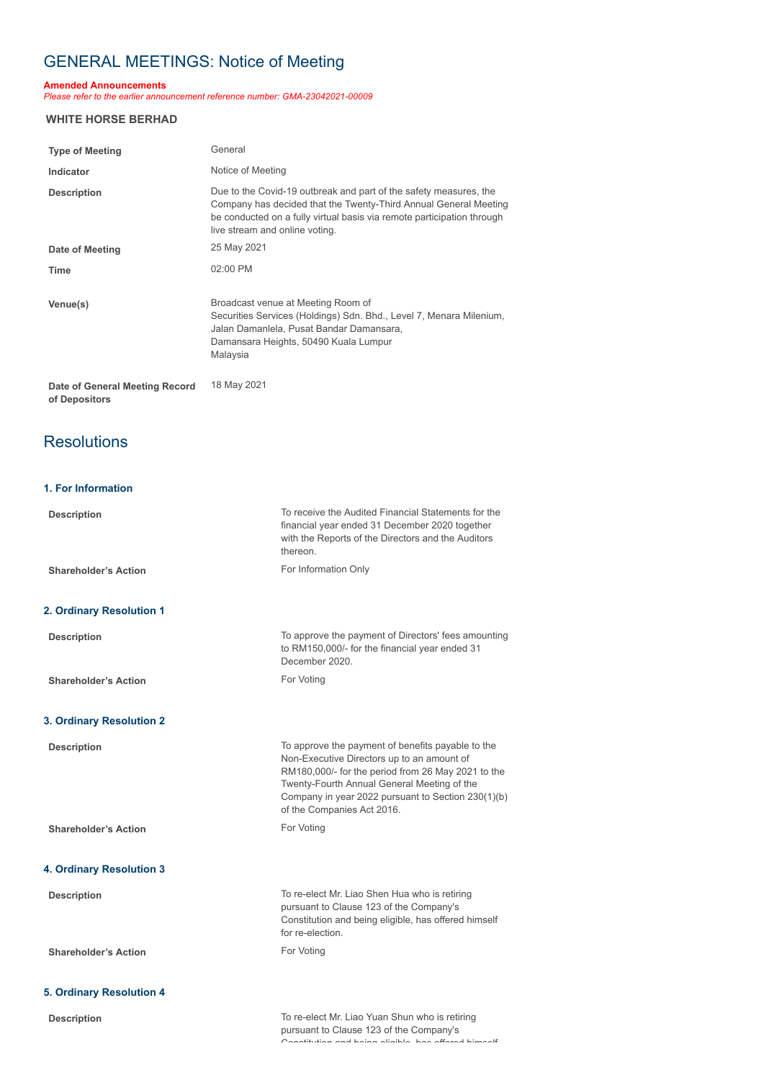# GENERAL MEETINGS: Notice of Meeting

#### **Amended Announcements**

*Please refer to the earlier announcement reference number: GMA-23042021-00009*

#### **WHITE HORSE BERHAD**

| <b>Type of Meeting</b>         | General                                                                                                                                                                                                                                           |
|--------------------------------|---------------------------------------------------------------------------------------------------------------------------------------------------------------------------------------------------------------------------------------------------|
| Indicator                      | Notice of Meeting                                                                                                                                                                                                                                 |
| <b>Description</b>             | Due to the Covid-19 outbreak and part of the safety measures, the<br>Company has decided that the Twenty-Third Annual General Meeting<br>be conducted on a fully virtual basis via remote participation through<br>live stream and online voting. |
| Date of Meeting                | 25 May 2021                                                                                                                                                                                                                                       |
| <b>Time</b>                    | $02:00$ PM                                                                                                                                                                                                                                        |
| Venue(s)                       | Broadcast venue at Meeting Room of<br>Securities Services (Holdings) Sdn. Bhd., Level 7, Menara Milenium,<br>Jalan Damanlela, Pusat Bandar Damansara,<br>Damansara Heights, 50490 Kuala Lumpur<br>Malaysia                                        |
| Date of General Meeting Record | 18 May 2021                                                                                                                                                                                                                                       |

**of Depositors**

## **Resolutions**

### **1. For Information**

| <b>Description</b>              | To receive the Audited Financial Statements for the<br>financial year ended 31 December 2020 together<br>with the Reports of the Directors and the Auditors<br>thereon.                                                                                                                  |
|---------------------------------|------------------------------------------------------------------------------------------------------------------------------------------------------------------------------------------------------------------------------------------------------------------------------------------|
| <b>Shareholder's Action</b>     | For Information Only                                                                                                                                                                                                                                                                     |
|                                 |                                                                                                                                                                                                                                                                                          |
| 2. Ordinary Resolution 1        |                                                                                                                                                                                                                                                                                          |
| <b>Description</b>              | To approve the payment of Directors' fees amounting<br>to RM150,000/- for the financial year ended 31<br>December 2020.                                                                                                                                                                  |
| <b>Shareholder's Action</b>     | For Voting                                                                                                                                                                                                                                                                               |
|                                 |                                                                                                                                                                                                                                                                                          |
| 3. Ordinary Resolution 2        |                                                                                                                                                                                                                                                                                          |
| <b>Description</b>              | To approve the payment of benefits payable to the<br>Non-Executive Directors up to an amount of<br>RM180,000/- for the period from 26 May 2021 to the<br>Twenty-Fourth Annual General Meeting of the<br>Company in year 2022 pursuant to Section 230(1)(b)<br>of the Companies Act 2016. |
| <b>Shareholder's Action</b>     | For Voting                                                                                                                                                                                                                                                                               |
| 4. Ordinary Resolution 3        |                                                                                                                                                                                                                                                                                          |
| <b>Description</b>              | To re-elect Mr. Liao Shen Hua who is retiring                                                                                                                                                                                                                                            |
|                                 | pursuant to Clause 123 of the Company's<br>Constitution and being eligible, has offered himself<br>for re-election.                                                                                                                                                                      |
| <b>Shareholder's Action</b>     | For Voting                                                                                                                                                                                                                                                                               |
| <b>5. Ordinary Resolution 4</b> |                                                                                                                                                                                                                                                                                          |
| <b>Description</b>              | To re-elect Mr. Liao Yuan Shun who is retiring                                                                                                                                                                                                                                           |
|                                 | pursuant to Clause 123 of the Company's                                                                                                                                                                                                                                                  |

Constitution and being eligible has offered himself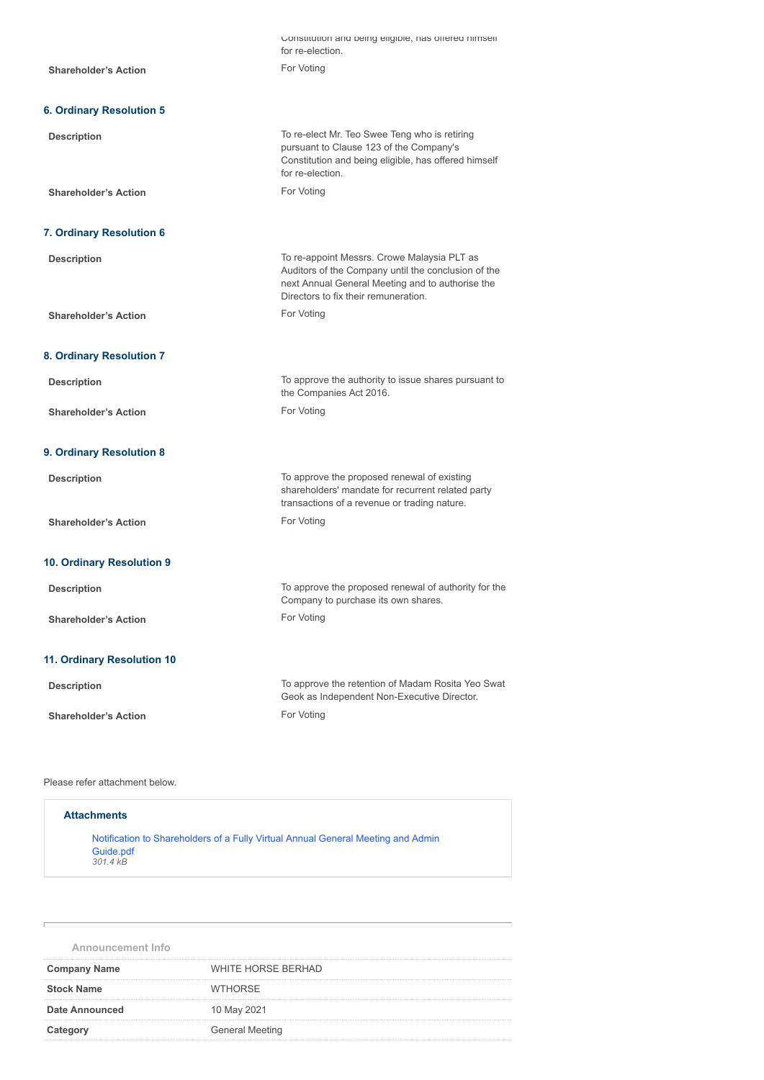|                                 | Constitution and being eligible, has onered himself<br>for re-election.                                                                                                                        |
|---------------------------------|------------------------------------------------------------------------------------------------------------------------------------------------------------------------------------------------|
| <b>Shareholder's Action</b>     | For Voting                                                                                                                                                                                     |
|                                 |                                                                                                                                                                                                |
| <b>6. Ordinary Resolution 5</b> |                                                                                                                                                                                                |
| <b>Description</b>              | To re-elect Mr. Teo Swee Teng who is retiring<br>pursuant to Clause 123 of the Company's<br>Constitution and being eligible, has offered himself<br>for re-election.                           |
| <b>Shareholder's Action</b>     | For Voting                                                                                                                                                                                     |
| 7. Ordinary Resolution 6        |                                                                                                                                                                                                |
|                                 |                                                                                                                                                                                                |
| <b>Description</b>              | To re-appoint Messrs. Crowe Malaysia PLT as<br>Auditors of the Company until the conclusion of the<br>next Annual General Meeting and to authorise the<br>Directors to fix their remuneration. |
| <b>Shareholder's Action</b>     | For Voting                                                                                                                                                                                     |
|                                 |                                                                                                                                                                                                |
| 8. Ordinary Resolution 7        |                                                                                                                                                                                                |
| <b>Description</b>              | To approve the authority to issue shares pursuant to<br>the Companies Act 2016.                                                                                                                |
| <b>Shareholder's Action</b>     | For Voting                                                                                                                                                                                     |
| 9. Ordinary Resolution 8        |                                                                                                                                                                                                |
| <b>Description</b>              | To approve the proposed renewal of existing<br>shareholders' mandate for recurrent related party<br>transactions of a revenue or trading nature.                                               |
| <b>Shareholder's Action</b>     | For Voting                                                                                                                                                                                     |
|                                 |                                                                                                                                                                                                |
| 10. Ordinary Resolution 9       |                                                                                                                                                                                                |
| <b>Description</b>              | To approve the proposed renewal of authority for the<br>Company to purchase its own shares.                                                                                                    |
| <b>Shareholder's Action</b>     | For Voting                                                                                                                                                                                     |
| 11. Ordinary Resolution 10      |                                                                                                                                                                                                |
| <b>Description</b>              | To approve the retention of Madam Rosita Yeo Swat<br>Geok as Independent Non-Executive Director.                                                                                               |
| <b>Shareholder's Action</b>     | For Voting                                                                                                                                                                                     |
|                                 |                                                                                                                                                                                                |

Please refer attachment below.

| <b>Attachments</b>                                                                                        |
|-----------------------------------------------------------------------------------------------------------|
| Notification to Shareholders of a Fully Virtual Annual General Meeting and Admin<br>Guide.pdf<br>301.4 kB |
|                                                                                                           |

**Announcement Info**

| <b>Company Name</b>   | <b>WHITE HORSE BERHAD</b> |
|-----------------------|---------------------------|
| <b>Stock Name</b>     | <b>WTHORSE</b>            |
| <b>Date Announced</b> | 10 May 2021               |
| Category              | General Meeting           |